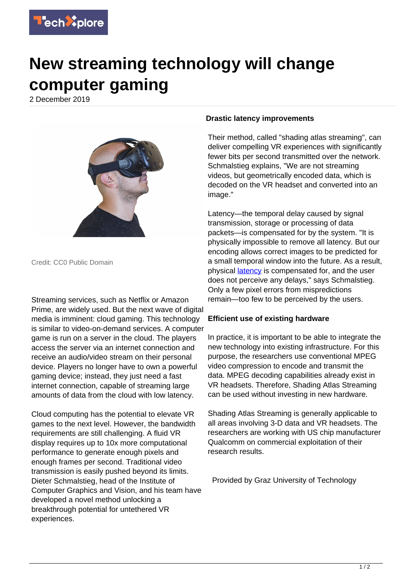

## **New streaming technology will change computer gaming**

2 December 2019



Credit: CC0 Public Domain

Streaming services, such as Netflix or Amazon Prime, are widely used. But the next wave of digital media is imminent: cloud gaming. This technology is similar to video-on-demand services. A computer game is run on a server in the cloud. The players access the server via an internet connection and receive an audio/video stream on their personal device. Players no longer have to own a powerful gaming device; instead, they just need a fast internet connection, capable of streaming large amounts of data from the cloud with low latency.

Cloud computing has the potential to elevate VR games to the next level. However, the bandwidth requirements are still challenging. A fluid VR display requires up to 10x more computational performance to generate enough pixels and enough frames per second. Traditional video transmission is easily pushed beyond its limits. Dieter Schmalstieg, head of the Institute of Computer Graphics and Vision, and his team have developed a novel method unlocking a breakthrough potential for untethered VR experiences.

## **Drastic latency improvements**

Their method, called "shading atlas streaming", can deliver compelling VR experiences with significantly fewer bits per second transmitted over the network. Schmalstieg explains, "We are not streaming videos, but geometrically encoded data, which is decoded on the VR headset and converted into an image."

Latency—the temporal delay caused by signal transmission, storage or processing of data packets—is compensated for by the system. "It is physically impossible to remove all latency. But our encoding allows correct images to be predicted for a small temporal window into the future. As a result, physical **latency** is compensated for, and the user does not perceive any delays," says Schmalstieg. Only a few pixel errors from mispredictions remain—too few to be perceived by the users.

## **Efficient use of existing hardware**

In practice, it is important to be able to integrate the new technology into existing infrastructure. For this purpose, the researchers use conventional MPEG video compression to encode and transmit the data. MPEG decoding capabilities already exist in VR headsets. Therefore, Shading Atlas Streaming can be used without investing in new hardware.

Shading Atlas Streaming is generally applicable to all areas involving 3-D data and VR headsets. The researchers are working with US chip manufacturer Qualcomm on commercial exploitation of their research results.

Provided by Graz University of Technology